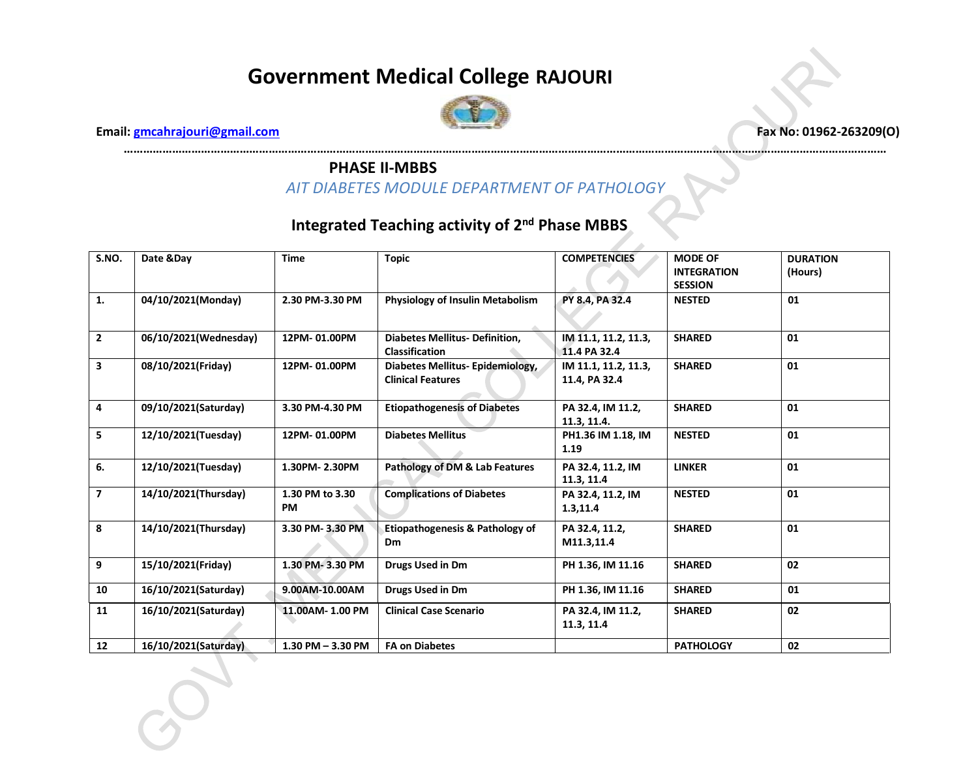

**…………………………………………………………………………………………………………………………………………………………………………………………………………………**

 **Email: [gmcahrajouri@gmail.com](mailto:gmcahrajouri@gmail.com) Fax No: 01962-263209(O)**

#### **PHASE II-MBBS**

## *AIT DIABETES MODULE DEPARTMENT OF PATHOLOGY*

| S.NO.          | Date &Day             | <b>Time</b>                  | <b>Topic</b><br><b>COMPETENCIES</b>                                                                                    |                                                       | <b>MODE OF</b><br><b>INTEGRATION</b><br><b>SESSION</b> | <b>DURATION</b><br>(Hours) |
|----------------|-----------------------|------------------------------|------------------------------------------------------------------------------------------------------------------------|-------------------------------------------------------|--------------------------------------------------------|----------------------------|
| 1.             | 04/10/2021(Monday)    | 2.30 PM-3.30 PM              | Physiology of Insulin Metabolism                                                                                       | PY 8.4, PA 32.4                                       | <b>NESTED</b>                                          | 01                         |
| $\overline{2}$ | 06/10/2021(Wednesday) | 12PM-01.00PM                 | <b>Diabetes Mellitus- Definition.</b><br><b>Classification</b>                                                         | IM 11.1, 11.2, 11.3,<br><b>SHARED</b><br>11.4 PA 32.4 |                                                        | 01                         |
| 3              | 08/10/2021(Friday)    | 12PM-01.00PM                 | <b>SHARED</b><br>Diabetes Mellitus- Epidemiology,<br>IM 11.1, 11.2, 11.3,<br><b>Clinical Features</b><br>11.4, PA 32.4 |                                                       |                                                        | 01                         |
| 4              | 09/10/2021(Saturday)  | 3.30 PM-4.30 PM              | <b>Etiopathogenesis of Diabetes</b>                                                                                    | PA 32.4, IM 11.2,<br>11.3, 11.4.                      | <b>SHARED</b>                                          | 01                         |
| 5              | 12/10/2021(Tuesday)   | 12PM-01.00PM                 | <b>NESTED</b><br><b>Diabetes Mellitus</b><br>PH1.36 IM 1.18, IM<br>1.19                                                |                                                       |                                                        | 01                         |
| 6.             | 12/10/2021(Tuesday)   | 1.30PM-2.30PM                | Pathology of DM & Lab Features                                                                                         | PA 32.4, 11.2, IM<br>11.3, 11.4                       | <b>LINKER</b>                                          | 01                         |
| $\overline{7}$ | 14/10/2021(Thursday)  | 1.30 PM to 3.30<br><b>PM</b> | <b>Complications of Diabetes</b>                                                                                       | PA 32.4, 11.2, IM<br>1.3,11.4                         | <b>NESTED</b>                                          | 01                         |
| 8              | 14/10/2021(Thursday)  | 3.30 PM-3.30 PM              | Etiopathogenesis & Pathology of<br><b>Dm</b>                                                                           | PA 32.4, 11.2,<br>M11.3,11.4                          | <b>SHARED</b>                                          | 01                         |
| 9              | 15/10/2021(Friday)    | 1.30 PM-3.30 PM              | <b>Drugs Used in Dm</b>                                                                                                | PH 1.36, IM 11.16                                     | <b>SHARED</b>                                          | 02                         |
| 10             | 16/10/2021(Saturday)  | 9.00AM-10.00AM               | <b>Drugs Used in Dm</b>                                                                                                | PH 1.36, IM 11.16                                     | <b>SHARED</b>                                          | 01                         |
| 11             | 16/10/2021(Saturday)  | 11.00AM-1.00 PM              | <b>Clinical Case Scenario</b>                                                                                          | PA 32.4, IM 11.2,<br>11.3, 11.4                       | <b>SHARED</b>                                          | 02                         |
| 12             | 16/10/2021(Saturday)  | $1.30$ PM $- 3.30$ PM        | <b>FA on Diabetes</b>                                                                                                  |                                                       | <b>PATHOLOGY</b>                                       | 02                         |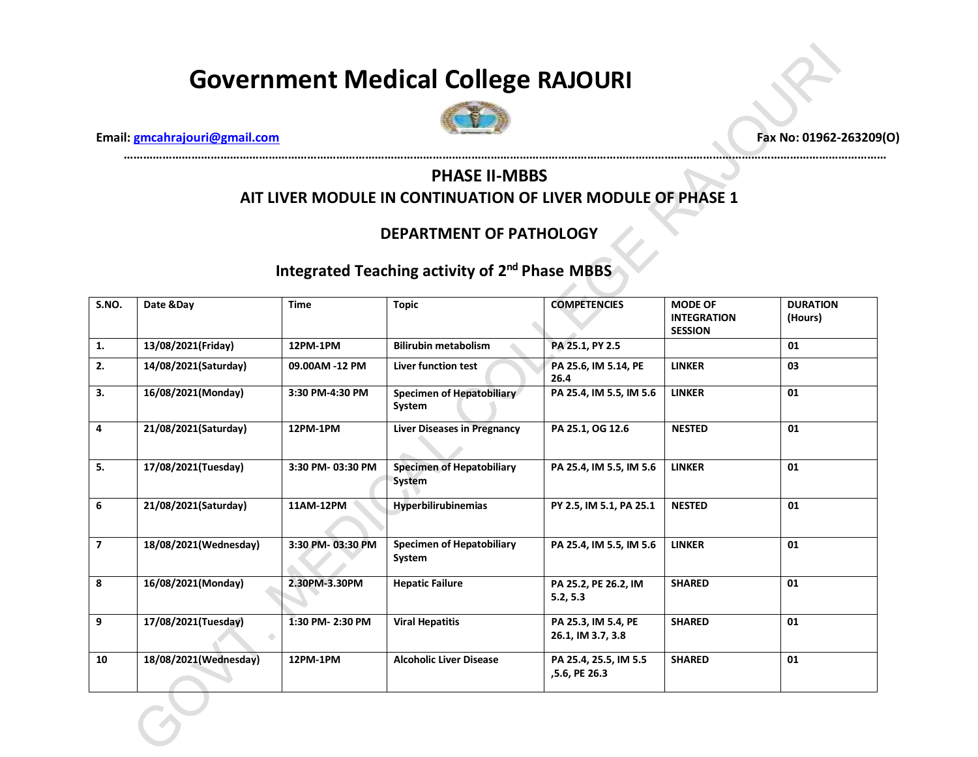

 **Email: [gmcahrajouri@gmail.com](mailto:gmcahrajouri@gmail.com) Fax No: 01962-263209(O)**

#### **PHASE II-MBBS AIT LIVER MODULE IN CONTINUATION OF LIVER MODULE OF PHASE 1**

**…………………………………………………………………………………………………………………………………………………………………………………………………………………**

#### **DEPARTMENT OF PATHOLOGY**

#### Integrated Teaching activity of 2<sup>nd</sup> Phase MBBS

| S.NO.          | Date &Day             | <b>Time</b>      | <b>Topic</b>                               | <b>COMPETENCIES</b>                      | <b>MODE OF</b><br><b>INTEGRATION</b><br><b>SESSION</b> | <b>DURATION</b><br>(Hours) |
|----------------|-----------------------|------------------|--------------------------------------------|------------------------------------------|--------------------------------------------------------|----------------------------|
| 1.             | 13/08/2021(Friday)    | 12PM-1PM         | <b>Bilirubin metabolism</b>                | PA 25.1, PY 2.5                          |                                                        | 01                         |
| 2.             | 14/08/2021(Saturday)  | 09.00AM -12 PM   | <b>Liver function test</b>                 | PA 25.6, IM 5.14, PE<br>26.4             | <b>LINKER</b>                                          | 03                         |
| 3.             | 16/08/2021(Monday)    | 3:30 PM-4:30 PM  | Specimen of Hepatobiliary<br>System        | PA 25.4, IM 5.5, IM 5.6                  | <b>LINKER</b>                                          | 01                         |
| 4              | 21/08/2021(Saturday)  | 12PM-1PM         | <b>Liver Diseases in Pregnancy</b>         | PA 25.1, OG 12.6                         | <b>NESTED</b>                                          | 01                         |
| 5.             | 17/08/2021(Tuesday)   | 3:30 PM-03:30 PM | <b>Specimen of Hepatobiliary</b><br>System | PA 25.4, IM 5.5, IM 5.6                  | <b>LINKER</b>                                          | 01                         |
| 6              | 21/08/2021(Saturday)  | 11AM-12PM        | <b>Hyperbilirubinemias</b>                 | PY 2.5, IM 5.1, PA 25.1                  | <b>NESTED</b>                                          | 01                         |
| $\overline{7}$ | 18/08/2021(Wednesday) | 3:30 PM-03:30 PM | <b>Specimen of Hepatobiliary</b><br>System | PA 25.4, IM 5.5, IM 5.6                  | <b>LINKER</b>                                          | 01                         |
| 8              | 16/08/2021(Monday)    | 2.30PM-3.30PM    | <b>Hepatic Failure</b>                     | PA 25.2, PE 26.2, IM<br>5.2, 5.3         | <b>SHARED</b>                                          | 01                         |
| 9              | 17/08/2021(Tuesday)   | 1:30 PM-2:30 PM  | <b>Viral Hepatitis</b>                     | PA 25.3, IM 5.4, PE<br>26.1, IM 3.7, 3.8 | <b>SHARED</b>                                          | 01                         |
| 10             | 18/08/2021(Wednesday) | 12PM-1PM         | <b>Alcoholic Liver Disease</b>             | PA 25.4, 25.5, IM 5.5<br>,5.6, PE 26.3   | <b>SHARED</b>                                          | 01                         |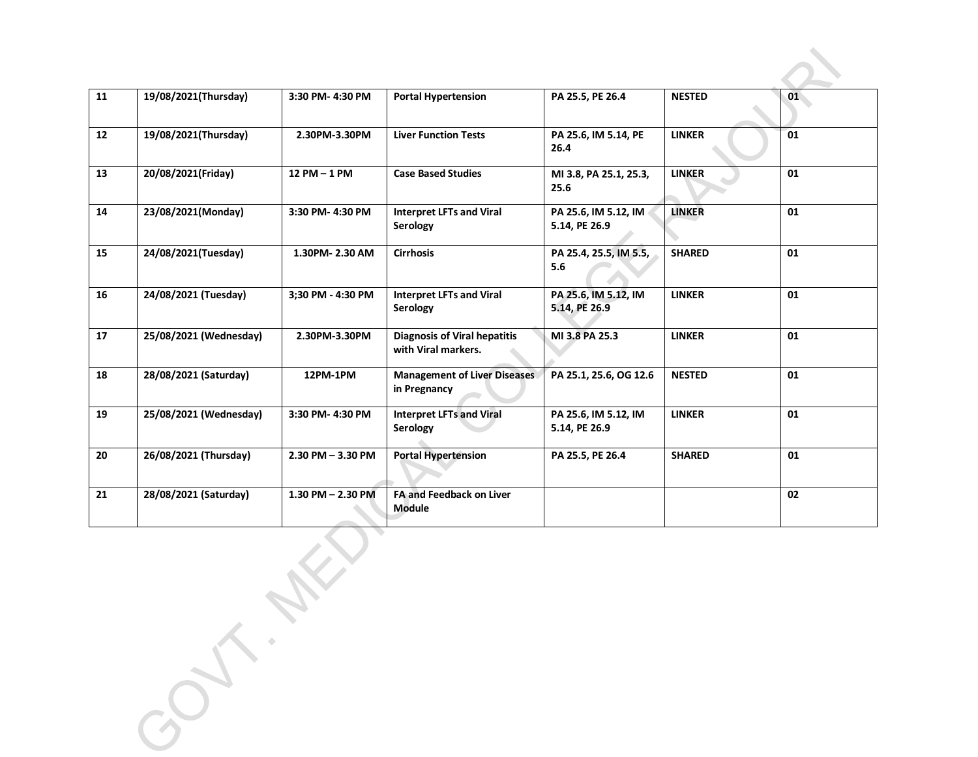| 11 | 19/08/2021(Thursday)   | 3:30 PM-4:30 PM       | <b>Portal Hypertension</b>                                                           | PA 25.5, PE 26.4                        | <b>NESTED</b> | 01 |
|----|------------------------|-----------------------|--------------------------------------------------------------------------------------|-----------------------------------------|---------------|----|
| 12 | 19/08/2021(Thursday)   | 2.30PM-3.30PM         | <b>Liver Function Tests</b>                                                          | PA 25.6, IM 5.14, PE<br>26.4            | <b>LINKER</b> | 01 |
| 13 | 20/08/2021(Friday)     | 12 PM - 1 PM          | <b>Case Based Studies</b>                                                            | MI 3.8, PA 25.1, 25.3,<br>25.6          | <b>LINKER</b> | 01 |
| 14 | 23/08/2021(Monday)     | 3:30 PM-4:30 PM       | <b>Interpret LFTs and Viral</b><br>PA 25.6, IM 5.12, IM<br>Serology<br>5.14, PE 26.9 |                                         | <b>LINKER</b> | 01 |
| 15 | 24/08/2021(Tuesday)    | 1.30PM-2.30 AM        | <b>Cirrhosis</b><br>PA 25.4, 25.5, IM 5.5,<br>5.6                                    |                                         | <b>SHARED</b> | 01 |
| 16 | 24/08/2021 (Tuesday)   | 3;30 PM - 4:30 PM     | <b>Interpret LFTs and Viral</b><br>Serology                                          | PA 25.6, IM 5.12, IM<br>5.14, PE 26.9   | <b>LINKER</b> | 01 |
| 17 | 25/08/2021 (Wednesday) | 2.30PM-3.30PM         | <b>Diagnosis of Viral hepatitis</b><br>MI 3.8 PA 25.3<br>with Viral markers.         |                                         | <b>LINKER</b> | 01 |
| 18 | 28/08/2021 (Saturday)  | 12PM-1PM              | <b>Management of Liver Diseases</b><br>in Pregnancy                                  | PA 25.1, 25.6, OG 12.6<br><b>NESTED</b> |               | 01 |
| 19 | 25/08/2021 (Wednesday) | 3:30 PM-4:30 PM       | <b>Interpret LFTs and Viral</b><br>Serology                                          | PA 25.6, IM 5.12, IM<br>5.14, PE 26.9   | <b>LINKER</b> | 01 |
| 20 | 26/08/2021 (Thursday)  | $2.30$ PM $- 3.30$ PM | <b>Portal Hypertension</b>                                                           | PA 25.5, PE 26.4                        | <b>SHARED</b> | 01 |
| 21 | 28/08/2021 (Saturday)  | 1.30 PM - 2.30 PM     | <b>FA and Feedback on Liver</b><br><b>Module</b>                                     |                                         |               | 02 |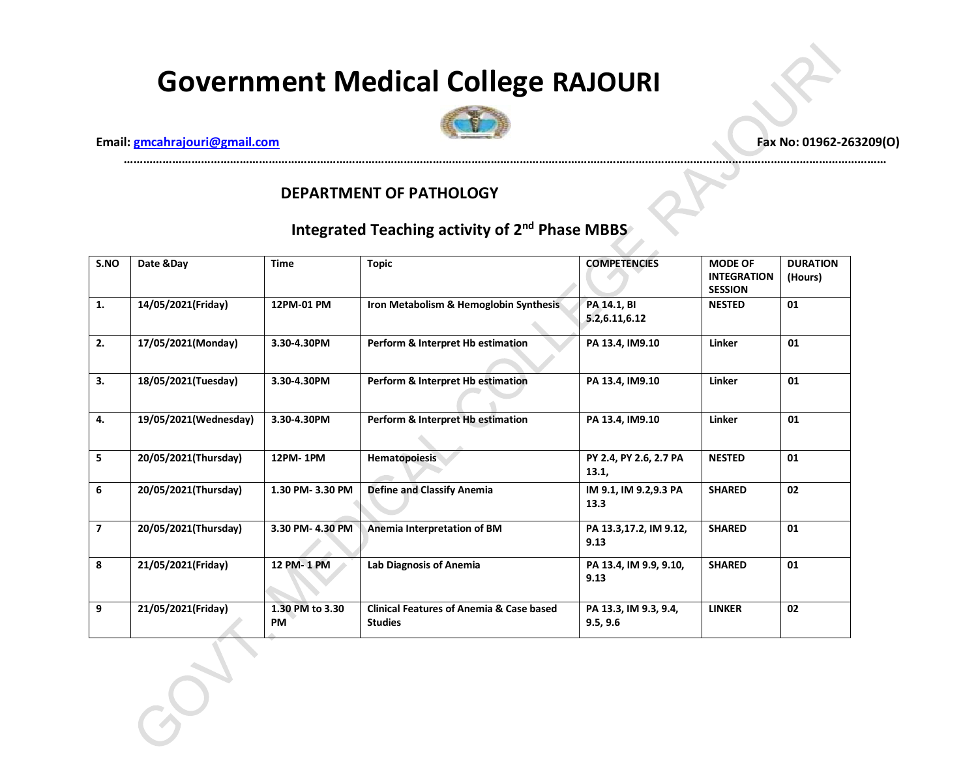

**…………………………………………………………………………………………………………………………………………………………………………………………………………………**

 **Email: gmcahrajouri@gmail.com Fax No: 01962-263209(O)** 

#### **DEPARTMENT OF PATHOLOGY**

| S.NO           | Date &Day             | <b>Time</b>           | <b>Topic</b>                                                          | <b>COMPETENCIES</b>               | <b>MODE OF</b><br><b>INTEGRATION</b><br><b>SESSION</b> | <b>DURATION</b><br>(Hours) |
|----------------|-----------------------|-----------------------|-----------------------------------------------------------------------|-----------------------------------|--------------------------------------------------------|----------------------------|
| 1.             | 14/05/2021(Friday)    | 12PM-01 PM            | Iron Metabolism & Hemoglobin Synthesis                                | PA 14.1, BI<br>5.2,6.11,6.12      | <b>NESTED</b>                                          | 01                         |
| 2.             | 17/05/2021(Monday)    | 3.30-4.30PM           | Perform & Interpret Hb estimation                                     | PA 13.4, IM9.10                   | Linker                                                 | 01                         |
| 3.             | 18/05/2021(Tuesday)   | 3.30-4.30PM           | Perform & Interpret Hb estimation                                     | PA 13.4, IM9.10                   | Linker                                                 | 01                         |
| 4.             | 19/05/2021(Wednesday) | 3.30-4.30PM           | Perform & Interpret Hb estimation                                     | PA 13.4, IM9.10                   | Linker                                                 | 01                         |
| 5              | 20/05/2021(Thursday)  | 12PM-1PM              | Hematopoiesis                                                         | PY 2.4, PY 2.6, 2.7 PA<br>13.1,   | <b>NESTED</b>                                          | 01                         |
| 6              | 20/05/2021(Thursday)  | 1.30 PM-3.30 PM       | <b>Define and Classify Anemia</b>                                     | IM 9.1, IM 9.2,9.3 PA<br>13.3     | <b>SHARED</b>                                          | 02                         |
| $\overline{ }$ | 20/05/2021(Thursday)  | 3.30 PM-4.30 PM       | Anemia Interpretation of BM                                           | PA 13.3,17.2, IM 9.12,<br>9.13    | <b>SHARED</b>                                          | 01                         |
| 8              | 21/05/2021(Friday)    | 12 PM-1 PM            | <b>Lab Diagnosis of Anemia</b>                                        | PA 13.4, IM 9.9, 9.10,<br>9.13    | <b>SHARED</b>                                          | 01                         |
| 9              | 21/05/2021(Friday)    | 1.30 PM to 3.30<br>PM | <b>Clinical Features of Anemia &amp; Case based</b><br><b>Studies</b> | PA 13.3, IM 9.3, 9.4,<br>9.5, 9.6 | <b>LINKER</b>                                          | 02                         |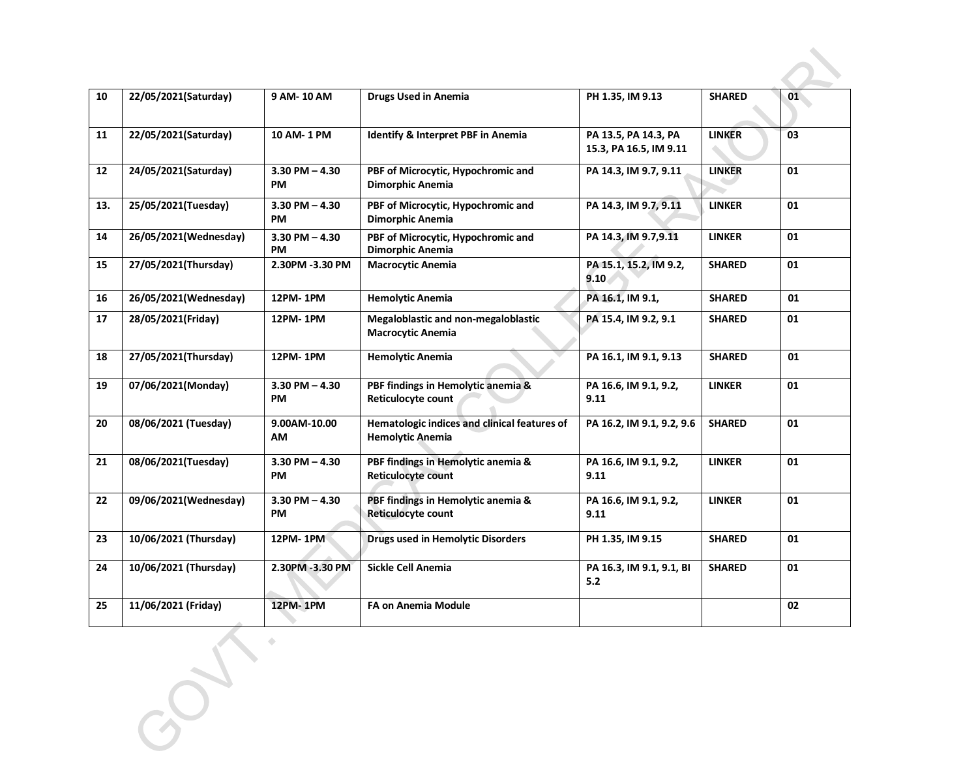| 10  | 22/05/2021(Saturday)  | 9 AM-10 AM                      | <b>Drugs Used in Anemia</b>                                             | PH 1.35, IM 9.13                               | <b>SHARED</b> | 01 |
|-----|-----------------------|---------------------------------|-------------------------------------------------------------------------|------------------------------------------------|---------------|----|
| 11  | 22/05/2021(Saturday)  | 10 AM-1 PM                      | <b>Identify &amp; Interpret PBF in Anemia</b>                           | PA 13.5, PA 14.3, PA<br>15.3, PA 16.5, IM 9.11 | <b>LINKER</b> | 03 |
| 12  | 24/05/2021(Saturday)  | $3.30$ PM $- 4.30$<br>PM        | PBF of Microcytic, Hypochromic and<br>Dimorphic Anemia                  | PA 14.3, IM 9.7, 9.11                          | <b>LINKER</b> | 01 |
| 13. | 25/05/2021(Tuesday)   | $3.30$ PM $- 4.30$<br>PM        | PBF of Microcytic, Hypochromic and<br>Dimorphic Anemia                  | PA 14.3, IM 9.7, 9.11                          | <b>LINKER</b> | 01 |
| 14  | 26/05/2021(Wednesday) | $3.30$ PM $- 4.30$<br><b>PM</b> | PBF of Microcytic, Hypochromic and<br>Dimorphic Anemia                  | PA 14.3, IM 9.7,9.11                           | <b>LINKER</b> | 01 |
| 15  | 27/05/2021(Thursday)  | 2.30PM -3.30 PM                 | <b>Macrocytic Anemia</b>                                                | PA 15.1, 15.2, IM 9.2,<br>9.10                 | <b>SHARED</b> | 01 |
| 16  | 26/05/2021(Wednesday) | 12PM-1PM                        | <b>Hemolytic Anemia</b>                                                 | PA 16.1, IM 9.1,                               | <b>SHARED</b> | 01 |
| 17  | 28/05/2021(Friday)    | 12PM-1PM                        | Megaloblastic and non-megaloblastic<br><b>Macrocytic Anemia</b>         | PA 15.4, IM 9.2, 9.1                           | <b>SHARED</b> | 01 |
| 18  | 27/05/2021(Thursday)  | 12PM-1PM                        | <b>Hemolytic Anemia</b>                                                 | PA 16.1, IM 9.1, 9.13                          | <b>SHARED</b> | 01 |
| 19  | 07/06/2021(Monday)    | $3.30$ PM $- 4.30$<br><b>PM</b> | PBF findings in Hemolytic anemia &<br>Reticulocyte count                | PA 16.6, IM 9.1, 9.2,<br>9.11                  | <b>LINKER</b> | 01 |
| 20  | 08/06/2021 (Tuesday)  | 9.00AM-10.00<br>AM              | Hematologic indices and clinical features of<br><b>Hemolytic Anemia</b> | PA 16.2, IM 9.1, 9.2, 9.6                      | <b>SHARED</b> | 01 |
| 21  | 08/06/2021(Tuesday)   | $3.30$ PM $- 4.30$<br>PM        | PBF findings in Hemolytic anemia &<br>Reticulocyte count                | PA 16.6, IM 9.1, 9.2,<br>9.11                  | <b>LINKER</b> | 01 |
| 22  | 09/06/2021(Wednesday) | $3.30$ PM $- 4.30$<br>PM        | PBF findings in Hemolytic anemia &<br><b>Reticulocyte count</b>         | PA 16.6, IM 9.1, 9.2,<br>9.11                  | <b>LINKER</b> | 01 |
| 23  | 10/06/2021 (Thursday) | 12PM-1PM                        | <b>Drugs used in Hemolytic Disorders</b>                                | PH 1.35, IM 9.15                               | <b>SHARED</b> | 01 |
| 24  | 10/06/2021 (Thursday) | 2.30PM -3.30 PM                 | Sickle Cell Anemia                                                      | PA 16.3, IM 9.1, 9.1, BI<br>5.2                | <b>SHARED</b> | 01 |
| 25  | 11/06/2021 (Friday)   | <b>12PM-1PM</b>                 | <b>FA on Anemia Module</b>                                              |                                                |               | 02 |
|     |                       |                                 |                                                                         |                                                |               |    |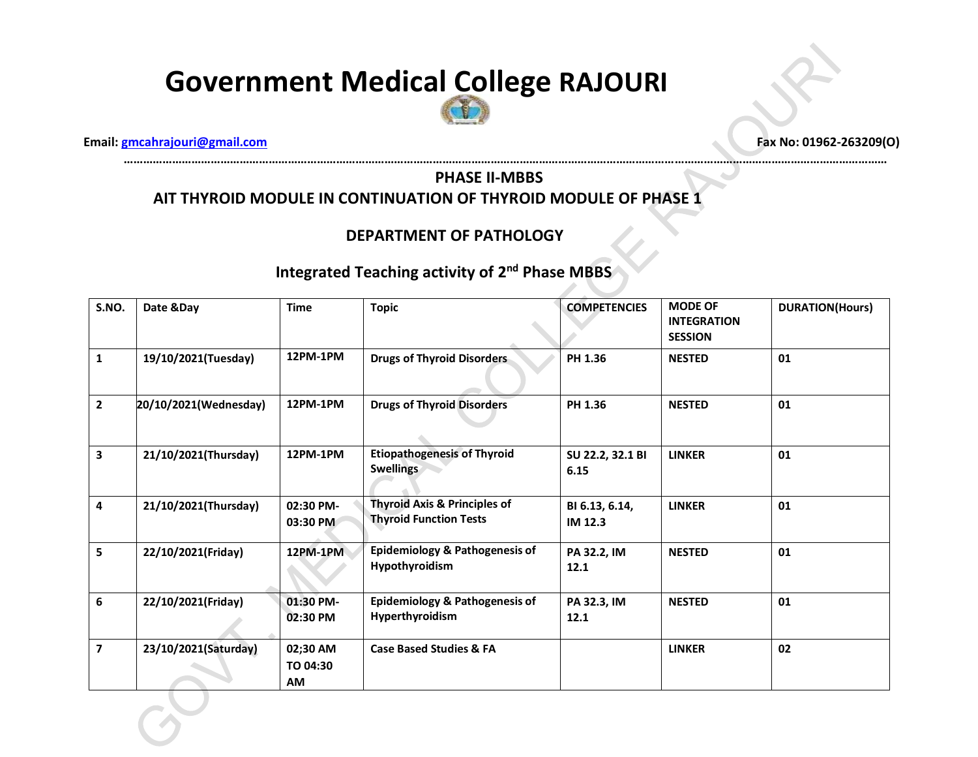

**…………………………………………………………………………………………………………………………………………………………………………………………………………………**

 **Email: [gmcahrajouri@gmail.com](mailto:gmcahrajouri@gmail.com) Fax No: 01962-263209(O)**

#### **PHASE II-MBBS AIT THYROID MODULE IN CONTINUATION OF THYROID MODULE OF PHASE 1**

#### **DEPARTMENT OF PATHOLOGY**

| S.NO.          | Date &Day             | <b>Time</b>                | <b>Topic</b>                                                             | <b>COMPETENCIES</b>       | <b>MODE OF</b><br><b>INTEGRATION</b><br><b>SESSION</b> | <b>DURATION(Hours)</b> |
|----------------|-----------------------|----------------------------|--------------------------------------------------------------------------|---------------------------|--------------------------------------------------------|------------------------|
| $\mathbf{1}$   | 19/10/2021(Tuesday)   | 12PM-1PM                   | <b>Drugs of Thyroid Disorders</b>                                        | PH 1.36                   | <b>NESTED</b>                                          | 01                     |
| $\mathbf{2}$   | 20/10/2021(Wednesday) | 12PM-1PM                   | <b>Drugs of Thyroid Disorders</b>                                        | PH 1.36                   | <b>NESTED</b>                                          | 01                     |
| 3              | 21/10/2021(Thursday)  | 12PM-1PM                   | <b>Etiopathogenesis of Thyroid</b><br><b>Swellings</b>                   | SU 22.2, 32.1 BI<br>6.15  | <b>LINKER</b>                                          | 01                     |
| 4              | 21/10/2021(Thursday)  | 02:30 PM-<br>03:30 PM      | <b>Thyroid Axis &amp; Principles of</b><br><b>Thyroid Function Tests</b> | BI 6.13, 6.14,<br>IM 12.3 | <b>LINKER</b>                                          | 01                     |
| 5              | 22/10/2021(Friday)    | <b>12PM-1PM</b>            | Epidemiology & Pathogenesis of<br>Hypothyroidism                         | PA 32.2, IM<br>12.1       | <b>NESTED</b>                                          | 01                     |
| 6              | 22/10/2021(Friday)    | 01:30 PM-<br>02:30 PM      | <b>Epidemiology &amp; Pathogenesis of</b><br>Hyperthyroidism             | PA 32.3, IM<br>12.1       | <b>NESTED</b>                                          | 01                     |
| $\overline{7}$ | 23/10/2021(Saturday)  | 02;30 AM<br>TO 04:30<br>AM | <b>Case Based Studies &amp; FA</b>                                       |                           | <b>LINKER</b>                                          | 02                     |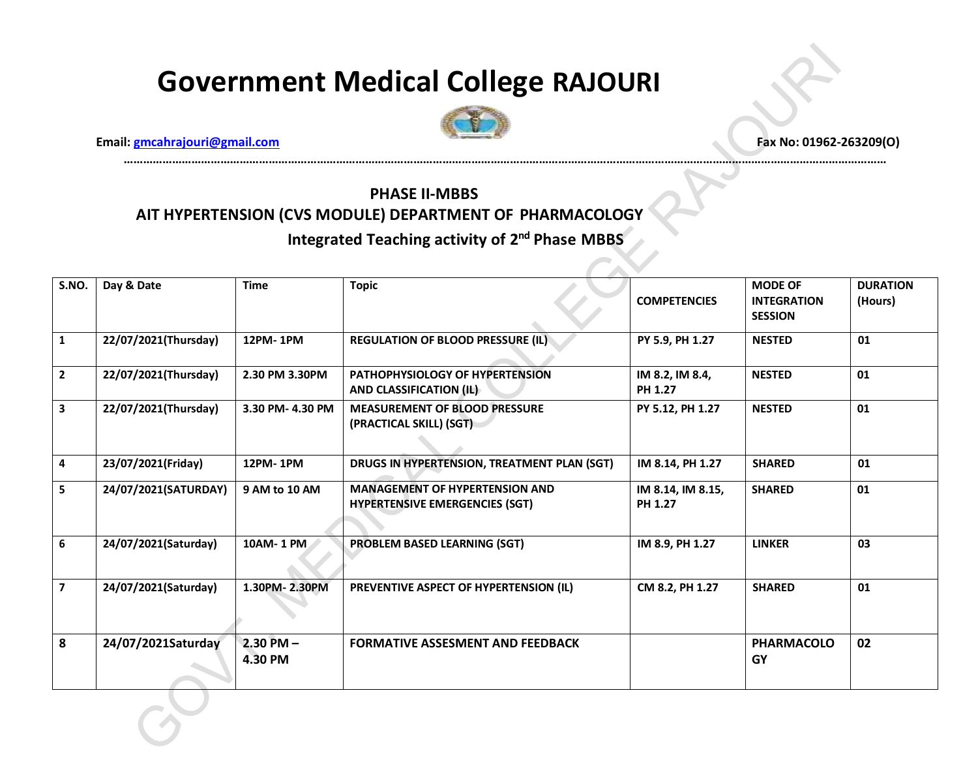

**…………………………………………………………………………………………………………………………………………………………………………………………………………………**

 **Email: [gmcahrajouri@gmail.com](mailto:gmcahrajouri@gmail.com) Fax No: 01962-263209(O)**

### **PHASE II-MBBS AIT HYPERTENSION (CVS MODULE) DEPARTMENT OF PHARMACOLOGY** Integrated Teaching activity of 2<sup>nd</sup> Phase MBBS

| S.NO.          | Day & Date           | <b>Time</b>              | <b>Topic</b>                                                                   | <b>COMPETENCIES</b>          | <b>MODE OF</b><br><b>INTEGRATION</b><br><b>SESSION</b> | <b>DURATION</b><br>(Hours) |
|----------------|----------------------|--------------------------|--------------------------------------------------------------------------------|------------------------------|--------------------------------------------------------|----------------------------|
| $\mathbf{1}$   | 22/07/2021(Thursday) | 12PM-1PM                 | <b>REGULATION OF BLOOD PRESSURE (IL)</b>                                       | PY 5.9, PH 1.27              | <b>NESTED</b>                                          | 01                         |
| $\overline{2}$ | 22/07/2021(Thursday) | 2.30 PM 3.30PM           | PATHOPHYSIOLOGY OF HYPERTENSION<br>AND CLASSIFICATION (IL)                     | IM 8.2, IM 8.4,<br>PH 1.27   | <b>NESTED</b>                                          | 01                         |
| $\mathbf{3}$   | 22/07/2021(Thursday) | 3.30 PM-4.30 PM          | <b>MEASUREMENT OF BLOOD PRESSURE</b><br>(PRACTICAL SKILL) (SGT)                | PY 5.12, PH 1.27             | <b>NESTED</b>                                          | 01                         |
| 4              | 23/07/2021(Friday)   | 12PM-1PM                 | DRUGS IN HYPERTENSION, TREATMENT PLAN (SGT)                                    | IM 8.14, PH 1.27             | <b>SHARED</b>                                          | 01                         |
| 5              | 24/07/2021(SATURDAY) | 9 AM to 10 AM            | <b>MANAGEMENT OF HYPERTENSION AND</b><br><b>HYPERTENSIVE EMERGENCIES (SGT)</b> | IM 8.14, IM 8.15,<br>PH 1.27 | <b>SHARED</b>                                          | 01                         |
| 6              | 24/07/2021(Saturday) | 10AM-1 PM                | <b>PROBLEM BASED LEARNING (SGT)</b>                                            | IM 8.9, PH 1.27              | <b>LINKER</b>                                          | 03                         |
| $\overline{7}$ | 24/07/2021(Saturday) | 1.30PM-2.30PM            | PREVENTIVE ASPECT OF HYPERTENSION (IL)                                         | CM 8.2, PH 1.27              | <b>SHARED</b>                                          | 01                         |
| 8              | 24/07/2021Saturday   | $2.30$ PM $-$<br>4.30 PM | <b>FORMATIVE ASSESMENT AND FEEDBACK</b>                                        |                              | <b>PHARMACOLO</b><br>GY                                | 02                         |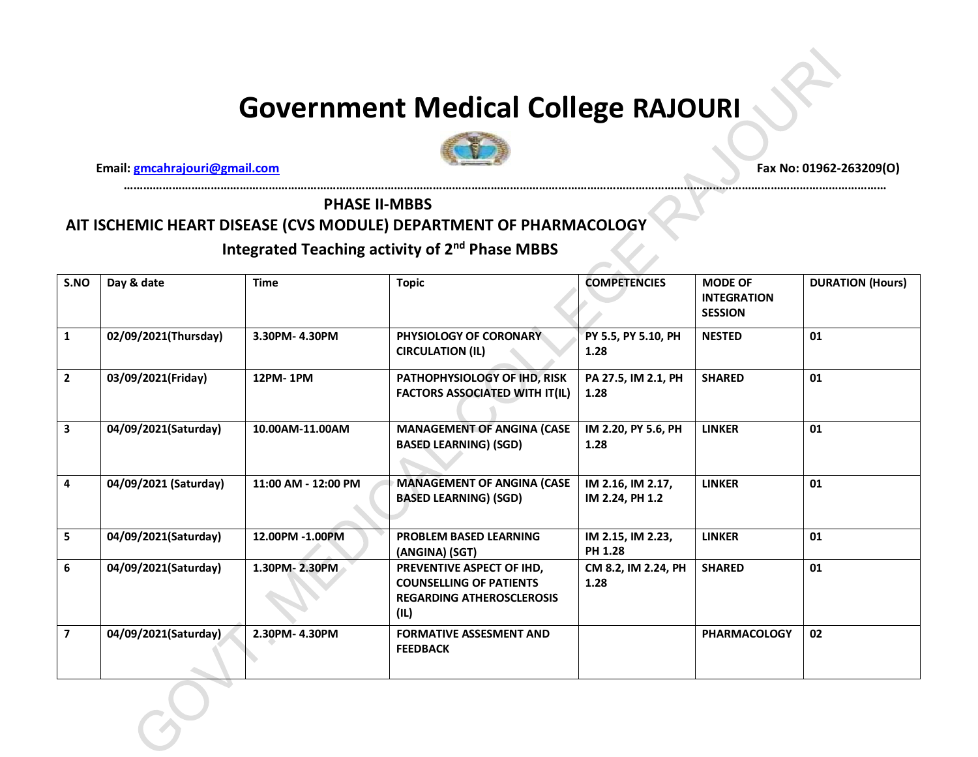**…………………………………………………………………………………………………………………………………………………………………………………………………………………**



 **Email: gmcahrajouri@gmail.com Fax No: 01962-263209(O)** 

#### **PHASE II-MBBS**

#### **AIT ISCHEMIC HEART DISEASE (CVS MODULE) DEPARTMENT OF PHARMACOLOGY**

| S.NO                    | Day & date            | <b>Time</b>         | <b>COMPETENCIES</b><br><b>Topic</b>                                                                     |                                      | <b>MODE OF</b><br><b>INTEGRATION</b><br><b>SESSION</b> | <b>DURATION (Hours)</b> |
|-------------------------|-----------------------|---------------------|---------------------------------------------------------------------------------------------------------|--------------------------------------|--------------------------------------------------------|-------------------------|
| 1                       | 02/09/2021(Thursday)  | 3.30PM- 4.30PM      | PHYSIOLOGY OF CORONARY<br><b>CIRCULATION (IL)</b>                                                       | PY 5.5, PY 5.10, PH<br>1.28          | <b>NESTED</b>                                          | 01                      |
| $\overline{2}$          | 03/09/2021(Friday)    | 12PM-1PM            | PATHOPHYSIOLOGY OF IHD, RISK<br><b>FACTORS ASSOCIATED WITH IT(IL)</b>                                   | PA 27.5, IM 2.1, PH<br>1.28          | <b>SHARED</b>                                          | 01                      |
| 3                       | 04/09/2021(Saturday)  | 10.00AM-11.00AM     | <b>MANAGEMENT OF ANGINA (CASE</b><br><b>BASED LEARNING) (SGD)</b>                                       | IM 2.20, PY 5.6, PH<br>1.28          | <b>LINKER</b>                                          | 01                      |
| 4                       | 04/09/2021 (Saturday) | 11:00 AM - 12:00 PM | <b>MANAGEMENT OF ANGINA (CASE</b><br><b>BASED LEARNING) (SGD)</b>                                       | IM 2.16, IM 2.17,<br>IM 2.24, PH 1.2 | <b>LINKER</b>                                          | 01                      |
| 5                       | 04/09/2021(Saturday)  | 12.00PM -1.00PM     | <b>PROBLEM BASED LEARNING</b><br>(ANGINA) (SGT)                                                         | IM 2.15, IM 2.23,<br><b>PH 1.28</b>  | <b>LINKER</b>                                          | 01                      |
| 6                       | 04/09/2021(Saturday)  | 1.30PM-2.30PM       | PREVENTIVE ASPECT OF IHD,<br><b>COUNSELLING OF PATIENTS</b><br><b>REGARDING ATHEROSCLEROSIS</b><br>(IL) | CM 8.2, IM 2.24, PH<br>1.28          | <b>SHARED</b>                                          | 01                      |
| $\overline{\mathbf{z}}$ | 04/09/2021(Saturday)  | 2.30PM-4.30PM       | <b>FORMATIVE ASSESMENT AND</b><br><b>FEEDBACK</b>                                                       |                                      | <b>PHARMACOLOGY</b>                                    | 02                      |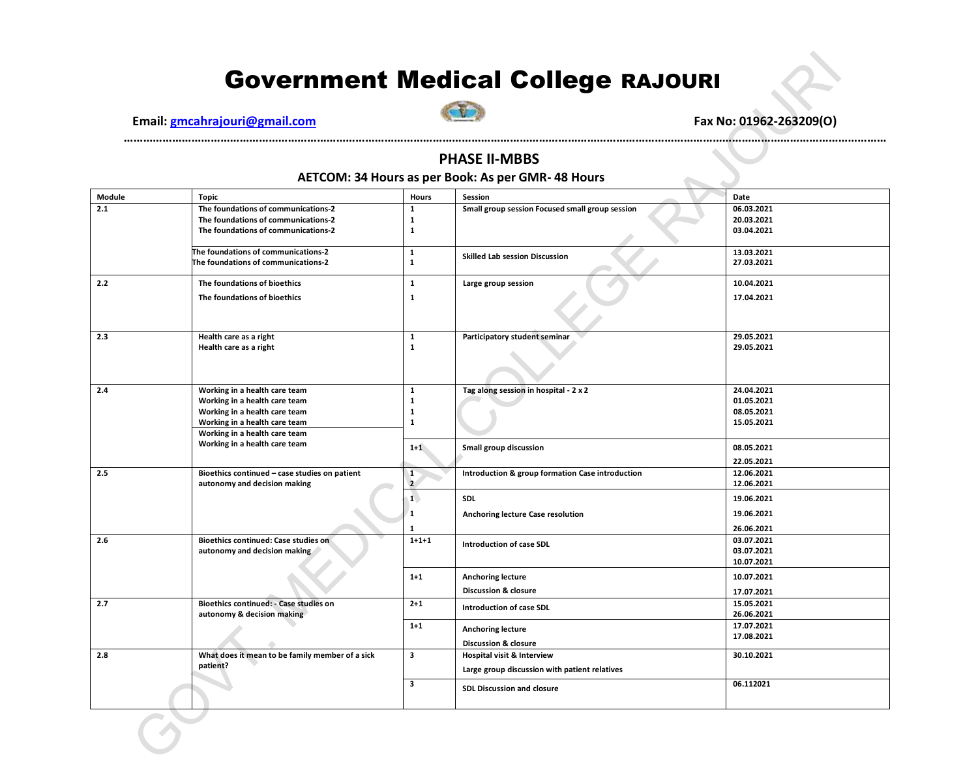**Email: gmcahrajouri@gmail.com Fax No: 01962-263209(O)** 



#### **PHASE II-MBBS**

**…………………………………………………………………………………………………………………………………………………………………………………………………………………**

#### **AETCOM: 34 Hours as per Book: As per GMR- 48 Hours**

| Module | <b>Topic</b>                                                         | <b>Hours</b>   | Session                                          | Date                     |
|--------|----------------------------------------------------------------------|----------------|--------------------------------------------------|--------------------------|
| 2.1    | The foundations of communications-2                                  | $\mathbf{1}$   | Small group session Focused small group session  | 06.03.2021               |
|        | The foundations of communications-2                                  | $\mathbf{1}$   |                                                  | 20.03.2021               |
|        | The foundations of communications-2                                  | 1              |                                                  | 03.04.2021               |
|        |                                                                      |                |                                                  |                          |
|        | The foundations of communications-2                                  | $\mathbf{1}$   | <b>Skilled Lab session Discussion</b>            | 13.03.2021               |
|        | The foundations of communications-2                                  | $\mathbf{1}$   |                                                  | 27.03.2021               |
| 2.2    | The foundations of bioethics                                         | $\mathbf{1}$   | Large group session                              | 10.04.2021               |
|        | The foundations of bioethics                                         | 1              |                                                  | 17.04.2021               |
|        |                                                                      |                |                                                  |                          |
| 2.3    | Health care as a right                                               | 1              | Participatory student seminar                    | 29.05.2021               |
|        | Health care as a right                                               | $\mathbf{1}$   |                                                  | 29.05.2021               |
|        |                                                                      |                |                                                  |                          |
| 2.4    | Working in a health care team                                        | $\mathbf{1}$   | Tag along session in hospital - 2 x 2            | 24.04.2021               |
|        | Working in a health care team                                        | $\mathbf{1}$   |                                                  | 01.05.2021               |
|        | Working in a health care team                                        | 1              |                                                  | 08.05.2021               |
|        | Working in a health care team                                        | $\mathbf{1}$   |                                                  | 15.05.2021               |
|        | Working in a health care team                                        |                |                                                  |                          |
|        | Working in a health care team                                        | $1+1$          | Small group discussion                           | 08.05.2021               |
|        |                                                                      |                |                                                  | 22.05.2021               |
| 2.5    | Bioethics continued - case studies on patient                        | $\mathbf{1}$   | Introduction & group formation Case introduction | 12.06.2021               |
|        | autonomy and decision making                                         | $\overline{2}$ |                                                  | 12.06.2021               |
|        |                                                                      | $\mathbf{1}$   | <b>SDL</b>                                       | 19.06.2021               |
|        |                                                                      | 1              | Anchoring lecture Case resolution                | 19.06.2021               |
|        |                                                                      | $\mathbf{1}$   |                                                  | 26.06.2021               |
| 2.6    | <b>Bioethics continued: Case studies on</b>                          | $1 + 1 + 1$    | <b>Introduction of case SDL</b>                  | 03.07.2021               |
|        | autonomy and decision making                                         |                |                                                  | 03.07.2021               |
|        |                                                                      |                |                                                  | 10.07.2021               |
|        |                                                                      | $1 + 1$        | <b>Anchoring lecture</b>                         | 10.07.2021               |
|        |                                                                      |                | <b>Discussion &amp; closure</b>                  | 17.07.2021               |
| 2.7    | Bioethics continued: - Case studies on<br>autonomy & decision making | $2 + 1$        | Introduction of case SDL                         | 15.05.2021<br>26.06.2021 |
|        |                                                                      | $1+1$          | <b>Anchoring lecture</b>                         | 17.07.2021               |
|        |                                                                      |                | <b>Discussion &amp; closure</b>                  | 17.08.2021               |
| 2.8    | What does it mean to be family member of a sick                      | 3              |                                                  | 30.10.2021               |
|        | patient?                                                             |                | Hospital visit & Interview                       |                          |
|        |                                                                      |                | Large group discussion with patient relatives    |                          |
|        |                                                                      | 3              | <b>SDL Discussion and closure</b>                | 06.112021                |
|        |                                                                      |                |                                                  |                          |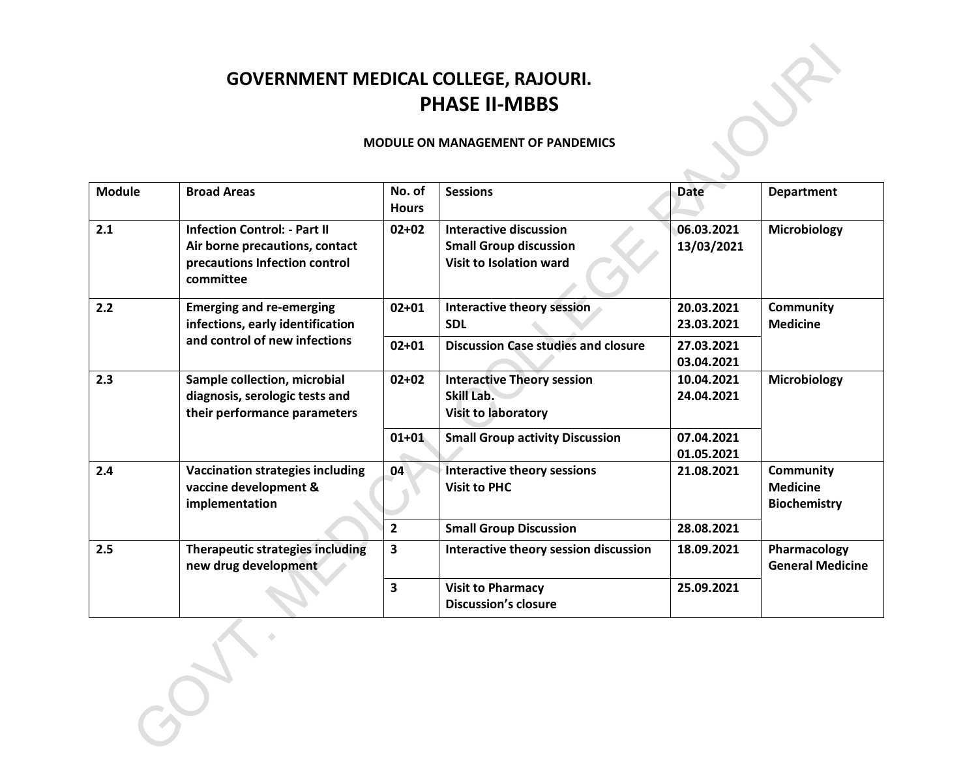## **GOVERNMENT MEDICAL COLLEGE, RAJOURI. PHASE II-MBBS**

#### **MODULE ON MANAGEMENT OF PANDEMICS**

 $\overline{\phantom{a}}$ 

| <b>Module</b> | <b>Broad Areas</b>                                                                                                  | No. of<br><b>Hours</b> | <b>Sessions</b>                                                                           | <b>Date</b>              | <b>Department</b>                                          |
|---------------|---------------------------------------------------------------------------------------------------------------------|------------------------|-------------------------------------------------------------------------------------------|--------------------------|------------------------------------------------------------|
| 2.1           | <b>Infection Control: - Part II</b><br>Air borne precautions, contact<br>precautions Infection control<br>committee | $02 + 02$              | Interactive discussion<br><b>Small Group discussion</b><br><b>Visit to Isolation ward</b> | 06.03.2021<br>13/03/2021 | Microbiology                                               |
| 2.2           | <b>Emerging and re-emerging</b><br>infections, early identification                                                 | $02 + 01$              | Interactive theory session<br><b>SDL</b>                                                  | 20.03.2021<br>23.03.2021 | Community<br><b>Medicine</b>                               |
|               | and control of new infections                                                                                       | $02 + 01$              | <b>Discussion Case studies and closure</b>                                                | 27.03.2021<br>03.04.2021 |                                                            |
| 2.3           | Sample collection, microbial<br>diagnosis, serologic tests and<br>their performance parameters                      | $02 + 02$              | <b>Interactive Theory session</b><br>Skill Lab.<br><b>Visit to laboratory</b>             | 10.04.2021<br>24.04.2021 | Microbiology                                               |
|               |                                                                                                                     | $01 + 01$              | <b>Small Group activity Discussion</b>                                                    | 07.04.2021<br>01.05.2021 |                                                            |
| 2.4           | <b>Vaccination strategies including</b><br>vaccine development &<br>implementation                                  | 04                     | <b>Interactive theory sessions</b><br><b>Visit to PHC</b>                                 | 21.08.2021               | <b>Community</b><br><b>Medicine</b><br><b>Biochemistry</b> |
|               |                                                                                                                     | $\overline{2}$         | <b>Small Group Discussion</b>                                                             | 28.08.2021               |                                                            |
| 2.5           | <b>Therapeutic strategies including</b><br>new drug development                                                     | 3                      | Interactive theory session discussion                                                     | 18.09.2021               | Pharmacology<br><b>General Medicine</b>                    |
|               |                                                                                                                     | $\mathbf{3}$           | <b>Visit to Pharmacy</b><br><b>Discussion's closure</b>                                   | 25.09.2021               |                                                            |